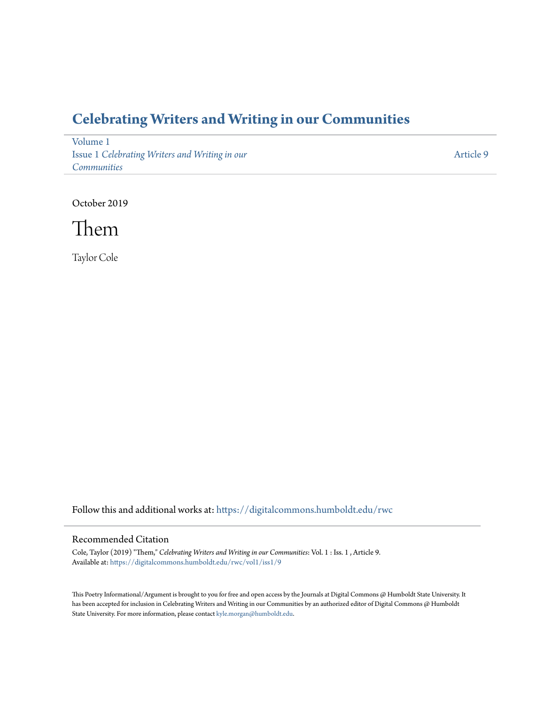## **[Celebrating Writers and Writing in our Communities](https://digitalcommons.humboldt.edu/rwc?utm_source=digitalcommons.humboldt.edu%2Frwc%2Fvol1%2Fiss1%2F9&utm_medium=PDF&utm_campaign=PDFCoverPages)**

[Volume 1](https://digitalcommons.humboldt.edu/rwc/vol1?utm_source=digitalcommons.humboldt.edu%2Frwc%2Fvol1%2Fiss1%2F9&utm_medium=PDF&utm_campaign=PDFCoverPages) Issue 1 *[Celebrating Writers and Writing in our](https://digitalcommons.humboldt.edu/rwc/vol1/iss1?utm_source=digitalcommons.humboldt.edu%2Frwc%2Fvol1%2Fiss1%2F9&utm_medium=PDF&utm_campaign=PDFCoverPages) [Communities](https://digitalcommons.humboldt.edu/rwc/vol1/iss1?utm_source=digitalcommons.humboldt.edu%2Frwc%2Fvol1%2Fiss1%2F9&utm_medium=PDF&utm_campaign=PDFCoverPages)*

[Article 9](https://digitalcommons.humboldt.edu/rwc/vol1/iss1/9?utm_source=digitalcommons.humboldt.edu%2Frwc%2Fvol1%2Fiss1%2F9&utm_medium=PDF&utm_campaign=PDFCoverPages)

October 2019



Taylor Cole

Follow this and additional works at: [https://digitalcommons.humboldt.edu/rwc](https://digitalcommons.humboldt.edu/rwc?utm_source=digitalcommons.humboldt.edu%2Frwc%2Fvol1%2Fiss1%2F9&utm_medium=PDF&utm_campaign=PDFCoverPages)

## Recommended Citation

Cole, Taylor (2019) "Them," *Celebrating Writers and Writing in our Communities*: Vol. 1 : Iss. 1 , Article 9. Available at: [https://digitalcommons.humboldt.edu/rwc/vol1/iss1/9](https://digitalcommons.humboldt.edu/rwc/vol1/iss1/9?utm_source=digitalcommons.humboldt.edu%2Frwc%2Fvol1%2Fiss1%2F9&utm_medium=PDF&utm_campaign=PDFCoverPages)

This Poetry Informational/Argument is brought to you for free and open access by the Journals at Digital Commons @ Humboldt State University. It has been accepted for inclusion in Celebrating Writers and Writing in our Communities by an authorized editor of Digital Commons @ Humboldt State University. For more information, please contact [kyle.morgan@humboldt.edu](mailto:kyle.morgan@humboldt.edu).